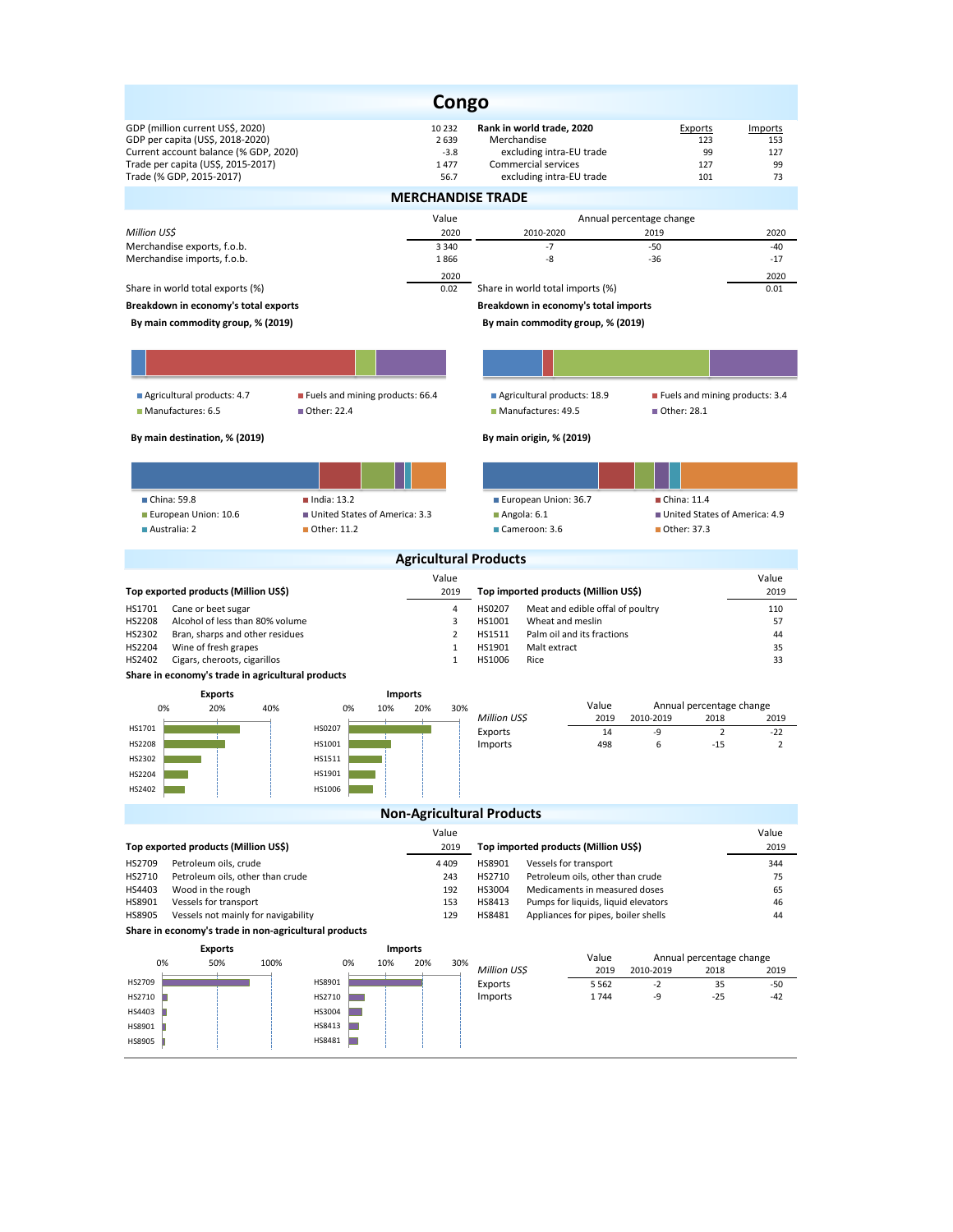|                                                                                                                                                                                 | <b>Congo</b>                                  |                                                                                                                         |                                               |                                   |  |  |
|---------------------------------------------------------------------------------------------------------------------------------------------------------------------------------|-----------------------------------------------|-------------------------------------------------------------------------------------------------------------------------|-----------------------------------------------|-----------------------------------|--|--|
| GDP (million current US\$, 2020)<br>GDP per capita (US\$, 2018-2020)<br>Current account balance (% GDP, 2020)<br>Trade per capita (US\$, 2015-2017)<br>Trade (% GDP, 2015-2017) | 10 2 3 2<br>2 6 3 9<br>$-3.8$<br>1477<br>56.7 | Rank in world trade, 2020<br>Merchandise<br>excluding intra-EU trade<br>Commercial services<br>excluding intra-EU trade | Exports<br>123<br>99<br>127<br>101            | Imports<br>153<br>127<br>99<br>73 |  |  |
|                                                                                                                                                                                 | <b>MERCHANDISE TRADE</b>                      |                                                                                                                         |                                               |                                   |  |  |
|                                                                                                                                                                                 | Value                                         |                                                                                                                         | Annual percentage change                      |                                   |  |  |
| Million US\$<br>Merchandise exports, f.o.b.                                                                                                                                     | 2020<br>3 3 4 0                               | 2010-2020<br>$-7$                                                                                                       | 2019<br>$-50$                                 | 2020<br>$-40$                     |  |  |
| Merchandise imports, f.o.b.                                                                                                                                                     | 1866                                          | -8                                                                                                                      | -36                                           | $-17$                             |  |  |
| Share in world total exports (%)                                                                                                                                                | 2020<br>0.02                                  | Share in world total imports (%)                                                                                        |                                               | 2020<br>0.01                      |  |  |
| Breakdown in economy's total exports                                                                                                                                            |                                               | Breakdown in economy's total imports                                                                                    |                                               |                                   |  |  |
| By main commodity group, % (2019)                                                                                                                                               |                                               | By main commodity group, % (2019)                                                                                       |                                               |                                   |  |  |
|                                                                                                                                                                                 |                                               |                                                                                                                         |                                               |                                   |  |  |
|                                                                                                                                                                                 |                                               |                                                                                                                         |                                               |                                   |  |  |
| Agricultural products: 4.7<br>Fuels and mining products: 66.4<br>Manufactures: 6.5<br>■ Other: 22.4                                                                             |                                               | Agricultural products: 18.9<br>Manufactures: 49.5                                                                       | Fuels and mining products: 3.4<br>Other: 28.1 |                                   |  |  |
| By main destination, % (2019)                                                                                                                                                   |                                               | By main origin, % (2019)                                                                                                |                                               |                                   |  |  |
|                                                                                                                                                                                 |                                               |                                                                                                                         |                                               |                                   |  |  |
| China: 59.8<br>$\blacksquare$ India: 13.2                                                                                                                                       |                                               | European Union: 36.7                                                                                                    | China: 11.4                                   |                                   |  |  |
| European Union: 10.6<br>United States of America: 3.3                                                                                                                           |                                               | $A$ ngola: 6.1                                                                                                          | United States of America: 4.9                 |                                   |  |  |
| Other: 11.2<br>Australia: 2                                                                                                                                                     |                                               | Cameroon: 3.6                                                                                                           | ■ Other: 37.3                                 |                                   |  |  |
|                                                                                                                                                                                 | <b>Agricultural Products</b>                  |                                                                                                                         |                                               |                                   |  |  |
| Top exported products (Million US\$)                                                                                                                                            | Value<br>2019                                 | Top imported products (Million US\$)                                                                                    |                                               | Value<br>2019                     |  |  |
| $\overline{4}$<br>HS1701<br>Cane or beet sugar                                                                                                                                  |                                               | HS0207<br>Meat and edible offal of poultry                                                                              |                                               | 110                               |  |  |
| HS2208<br>Alcohol of less than 80% volume<br>3<br>HS2302<br>Bran, sharps and other residues<br>$\overline{2}$                                                                   |                                               | HS1001<br>Wheat and meslin<br>57<br>HS1511<br>Palm oil and its fractions<br>44                                          |                                               |                                   |  |  |
| HS2204<br>Wine of fresh grapes<br>$\mathbf{1}$                                                                                                                                  |                                               | Malt extract<br>HS1901<br>35                                                                                            |                                               |                                   |  |  |
| HS2402<br>Cigars, cheroots, cigarillos<br>Share in economy's trade in agricultural products                                                                                     | $\mathbf{1}$                                  | HS1006<br>Rice                                                                                                          |                                               | 33                                |  |  |
| <b>Exports</b>                                                                                                                                                                  | <b>Imports</b>                                |                                                                                                                         |                                               |                                   |  |  |
| 0%<br>20%<br>40%<br>0%<br>10%                                                                                                                                                   | 20%<br>30%                                    | Value<br>Annual percentage change                                                                                       |                                               |                                   |  |  |
| HS1701<br>HS0207                                                                                                                                                                |                                               | Million US\$<br>2019<br>Exports<br>14                                                                                   | 2010-2019<br>2018<br>-9<br>$\overline{2}$     | 2019<br>$-22$                     |  |  |
| HS2208<br>HS1001                                                                                                                                                                |                                               | Imports<br>498                                                                                                          | 6<br>$-15$                                    | $\overline{2}$                    |  |  |
| HS2302<br>HS1511<br>HS2204<br>HS1901                                                                                                                                            |                                               |                                                                                                                         |                                               |                                   |  |  |
| HS2402<br>HS1006                                                                                                                                                                |                                               |                                                                                                                         |                                               |                                   |  |  |
|                                                                                                                                                                                 | <b>Non-Agricultural Products</b>              |                                                                                                                         |                                               |                                   |  |  |
|                                                                                                                                                                                 | Value                                         |                                                                                                                         |                                               | Value                             |  |  |
| Top exported products (Million US\$)                                                                                                                                            | 2019                                          | Top imported products (Million US\$)                                                                                    |                                               | 2019                              |  |  |
| HS2709<br>Petroleum oils, crude<br>4 4 0 9<br>HS2710<br>Petroleum oils, other than crude<br>243                                                                                 |                                               | HS8901<br>Vessels for transport<br>HS2710<br>Petroleum oils, other than crude                                           |                                               | 344<br>75                         |  |  |
| HS4403<br>Wood in the rough<br>192                                                                                                                                              |                                               | HS3004<br>Medicaments in measured doses                                                                                 |                                               | 65                                |  |  |
| HS8901<br>Vessels for transport<br>HS8905<br>Vessels not mainly for navigability                                                                                                | 153<br>129                                    | HS8413<br>Pumps for liquids, liquid elevators<br>HS8481<br>Appliances for pipes, boiler shells                          |                                               | 46<br>44                          |  |  |
| Share in economy's trade in non-agricultural products                                                                                                                           |                                               |                                                                                                                         |                                               |                                   |  |  |
| <b>Exports</b>                                                                                                                                                                  | <b>Imports</b>                                | Value                                                                                                                   | Annual percentage change                      |                                   |  |  |
| 0%<br>50%<br>100%<br>0%<br>10%                                                                                                                                                  | 20%<br>30%                                    | Million US\$<br>2019                                                                                                    | 2010-2019<br>2018                             | 2019                              |  |  |
| HS8901<br>HS2709<br>HS2710<br>HS2710                                                                                                                                            |                                               | Exports<br>5 5 6 2<br>Imports<br>1744                                                                                   | $-2$<br>35<br>-9<br>$-25$                     | $-50$<br>$-42$                    |  |  |
| HS3004<br>HS4403                                                                                                                                                                |                                               |                                                                                                                         |                                               |                                   |  |  |
| HS8413<br>HS8901                                                                                                                                                                |                                               |                                                                                                                         |                                               |                                   |  |  |
| HS8481<br>HS8905                                                                                                                                                                |                                               |                                                                                                                         |                                               |                                   |  |  |
|                                                                                                                                                                                 |                                               |                                                                                                                         |                                               |                                   |  |  |